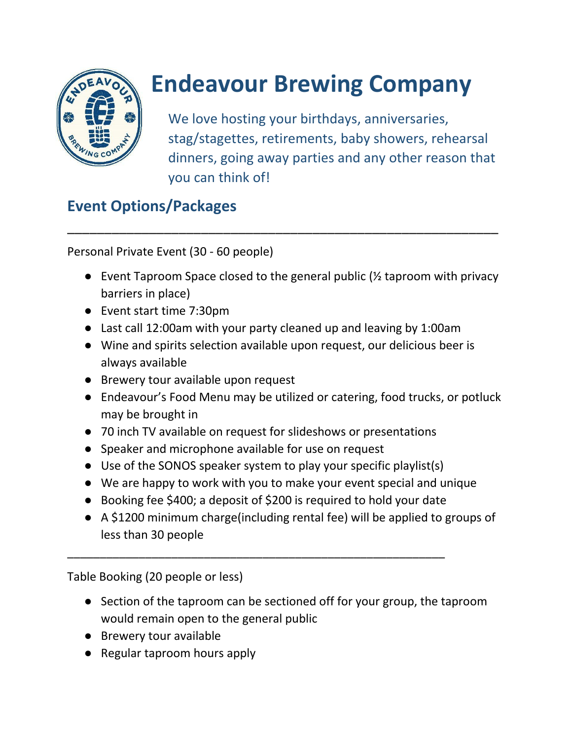

## **Endeavour Brewing Company**

We love hosting your birthdays, anniversaries, stag/stagettes, retirements, baby showers, rehearsal dinners, going away parties and any other reason that you can think of!

## **Event Options/Packages**

Personal Private Event (30 - 60 people)

• Event Taproom Space closed to the general public  $\frac{1}{2}$  taproom with privacy barriers in place)

\_\_\_\_\_\_\_\_\_\_\_\_\_\_\_\_\_\_\_\_\_\_\_\_\_\_\_\_\_\_\_\_\_\_\_\_\_\_\_\_\_\_\_\_\_\_\_\_\_\_\_\_\_\_\_\_\_\_

- Event start time 7:30pm
- Last call 12:00am with your party cleaned up and leaving by 1:00am
- Wine and spirits selection available upon request, our delicious beer is always available
- Brewery tour available upon request
- Endeavour's Food Menu may be utilized or catering, food trucks, or potluck may be brought in
- 70 inch TV available on request for slideshows or presentations
- Speaker and microphone available for use on request
- Use of the SONOS speaker system to play your specific playlist(s)
- We are happy to work with you to make your event special and unique
- Booking fee \$400; a deposit of \$200 is required to hold your date

\_\_\_\_\_\_\_\_\_\_\_\_\_\_\_\_\_\_\_\_\_\_\_\_\_\_\_\_\_\_\_\_\_\_\_\_\_\_\_\_\_\_\_\_\_\_\_\_\_\_\_\_\_\_\_\_\_\_

● A \$1200 minimum charge(including rental fee) will be applied to groups of less than 30 people

Table Booking (20 people or less)

- Section of the taproom can be sectioned off for your group, the taproom would remain open to the general public
- Brewery tour available
- Regular taproom hours apply